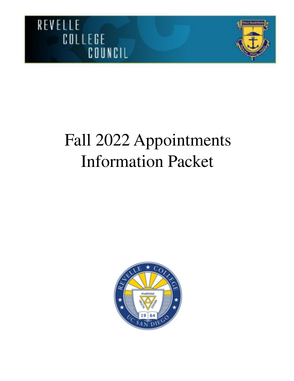



# Fall 2022 Appointments Information Packet

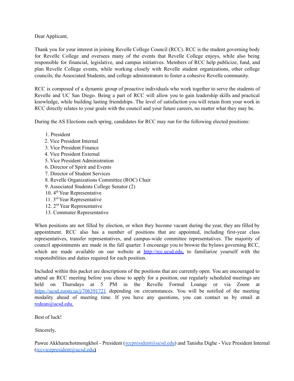Dear Applicant,

Thank you for your interest in joining Revelle College Council (RCC). RCC is the student governing body for Revelle College and oversees many of the events that Revelle College enjoys, while also being responsible for financial, legislative, and campus initiatives. Members of RCC help publicize, fund, and plan Revelle College events, while working closely with Revelle student organizations, other college councils, the Associated Students, and college administrators to foster a cohesive Revelle community.

RCC is composed of a dynamic group of proactive individuals who work together to serve the students of Revelle and UC San Diego. Being a part of RCC will allow you to gain leadership skills and practical knowledge, while building lasting friendships. The level of satisfaction you will retain from your work in RCC directly relates to your goals with the council and your future careers, no matter what they may be.

During the AS Elections each spring, candidates for RCC may run for the following elected positions:

- 1. President
- 2. Vice President Internal
- 3. Vice President Finance
- 4. Vice President External
- 5. Vice President Administration
- 6. Director of Spirit and Events
- 7. Director of Student Services
- 8. Revelle Organizations Committee (ROC) Chair
- 9. Associated Students College Senator (2)
- 10. 4<sup>th</sup> Year Representative
- 11. 3 rd Year Representative
- 12. 2 nd Year Representative
- 13. Commuter Representative

When positions are not filled by election, or when they become vacant during the year, they are filled by appointment. RCC also has a number of positions that are appointed, including first-year class representatives, transfer representatives, and campus-wide committee representatives. The majority of council appointments are made in the fall quarter. I encourage you to browse the bylaws governing RCC, which are made available on our website at http://rcc.ucsd.edu, to familiarize yourself with the responsibilities and duties required for each position.

Included within this packet are descriptions of the positions that are currently open. You are encouraged to attend an RCC meeting before you chose to apply for a position; our regularly scheduled meetings are held on Thursdays at 5 PM in the Revelle Formal Lounge or via Zoom at <https://ucsd.zoom.us/j/706391721> depending on circumstances. You will be notified of the meeting modality ahead of meeting time. If you have any questions, you can contact us by email at redean@ucsd.edu.

Best of luck!

Sincerely,

Pawee Akkharachotmongkhol - President ([rccpresident@ucsd.edu\)](mailto:rccpresident@ucsd.edu) and Tanisha Dighe - Vice President Internal ([rccvicepresident@ucsd.edu](mailto:rccvicepresident@ucsd.edu)**)**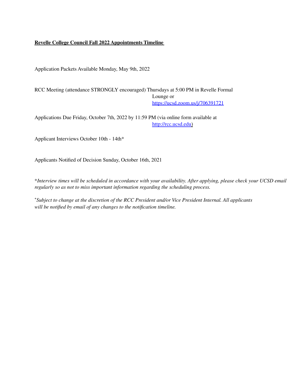#### **Revelle College Council Fall 2022 Appointments Timeline**

Application Packets Available Monday, May 9th, 2022

RCC Meeting (attendance STRONGLY encouraged) Thursdays at 5:00 PM in Revelle Formal Lounge or https://ucsd.zoom.us/j/706391721

Applications Due Friday, October 7th, 2022 by 11:59 PM (via online form available at http://rcc.ucsd.edu)

Applicant Interviews October 10th - 14th\*

Applicants Notified of Decision Sunday, October 16th, 2021

\*Interview times will be scheduled in accordance with your availability. After applying, please check your UCSD email *regularly so as not to miss important information regarding the scheduling process.*

<sup>+</sup>*Subject to change at the discretion of the RCC President and/or Vice President Internal. All applicants will be notified by email of any changes to the notification timeline.*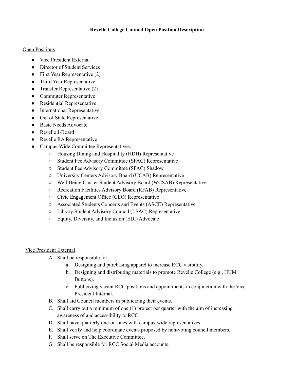## **Revelle College Council Open Position Description**

#### Open Positions

- Vice President External
- Director of Student Services
- $\bullet$  First Year Representative (2)
- Third Year Representative
- Transfer Representative  $(2)$
- Commuter Representative
- Residential Representative
- International Representative
- Out of State Representative
- Basic Needs Advocate
- Revelle J-Board
- Revelle RA Representative
- Campus-Wide Committee Representatives:
	- Housing Dining and Hospitality (HDH) Representative
	- Student Fee Advisory Committee (SFAC) Representative
	- Student Fee Advisory Committee (SFAC) Shadow
	- University Centers Advisory Board (UCAB) Representative
	- Well-Being Cluster Student Advisory Board (WCSAB) Representative
	- Recreation Facilities Advisory Board (RFAB) Representative
	- Civic Engagement Office (CEO) Representative
	- Associated Students Concerts and Events (ASCE) Representative
	- Library Student Advisory Council (LSAC) Representative
	- Equity, Diversity, and Inclusion (EDI) Advocate

## Vice President External

- A. Shall be responsible for:
	- a. Designing and purchasing apparel to increase RCC visibility.
	- b. Designing and distributing materials to promote Revelle College (e.g., HUM Buttons).
	- c. Publicizing vacant RCC positions and appointments in conjunction with the Vice President Internal.
- B. Shall aid Council members in publicizing their events.
- C. Shall carry out a minimum of one (1) project per quarter with the aim of increasing awareness of and accessibility to RCC.
- D. Shall have quarterly one-on-ones with campus-wide representatives.
- E. Shall verify and help coordinate events proposed by non-voting council members.
- F. Shall serve on The Executive Committee.
- G. Shall be responsible for RCC Social Media accounts.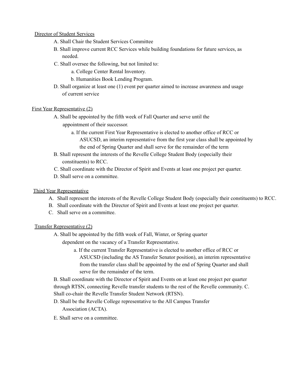#### Director of Student Services

- A. Shall Chair the Student Services Committee
- B. Shall improve current RCC Services while building foundations for future services, as needed.
- C. Shall oversee the following, but not limited to:
	- a. College Center Rental Inventory.
	- b. Humanities Book Lending Program.
- D. Shall organize at least one (1) event per quarter aimed to increase awareness and usage of current service

#### First Year Representative (2)

- A. Shall be appointed by the fifth week of Fall Quarter and serve until the appointment of their successor.
	- a. If the current First Year Representative is elected to another office of RCC or ASUCSD, an interim representative from the first year class shall be appointed by the end of Spring Quarter and shall serve for the remainder of the term
- B. Shall represent the interests of the Revelle College Student Body (especially their constituents) to RCC.
- C. Shall coordinate with the Director of Spirit and Events at least one project per quarter.
- D. Shall serve on a committee.

## Third Year Representative

- A. Shall represent the interests of the Revelle College Student Body (especially their constituents) to RCC.
- B. Shall coordinate with the Director of Spirit and Events at least one project per quarter.
- C. Shall serve on a committee.

## Transfer Representative (2)

- A. Shall be appointed by the fifth week of Fall, Winter, or Spring quarter dependent on the vacancy of a Transfer Representative.
	- a. If the current Transfer Representative is elected to another office of RCC or ASUCSD (including the AS Transfer Senator position), an interim representative from the transfer class shall be appointed by the end of Spring Quarter and shall serve for the remainder of the term.

B. Shall coordinate with the Director of Spirit and Events on at least one project per quarter through RTSN, connecting Revelle transfer students to the rest of the Revelle community. C. Shall co-chair the Revelle Transfer Student Network (RTSN).

- D. Shall be the Revelle College representative to the All Campus Transfer Association (ACTA).
- E. Shall serve on a committee.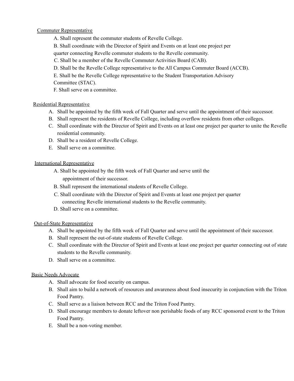## Commuter Representative

- A. Shall represent the commuter students of Revelle College.
- B. Shall coordinate with the Director of Spirit and Events on at least one project per
- quarter connecting Revelle commuter students to the Revelle community.
- C. Shall be a member of the Revelle Commuter Activities Board (CAB).
- D. Shall be the Revelle College representative to the All Campus Commuter Board (ACCB).
- E. Shall be the Revelle College representative to the Student Transportation Advisory

Committee (STAC).

F. Shall serve on a committee.

# Residential Representative

- A. Shall be appointed by the fifth week of Fall Quarter and serve until the appointment of their successor.
- B. Shall represent the residents of Revelle College, including overflow residents from other colleges.
- C. Shall coordinate with the Director of Spirit and Events on at least one project per quarter to unite the Revelle residential community.
- D. Shall be a resident of Revelle College.
- E. Shall serve on a committee.

# International Representative

- A. Shall be appointed by the fifth week of Fall Quarter and serve until the appointment of their successor.
- B. Shall represent the international students of Revelle College.
- C. Shall coordinate with the Director of Spirit and Events at least one project per quarter connecting Revelle international students to the Revelle community.
- D. Shall serve on a committee.

# Out-of-State Representative

- A. Shall be appointed by the fifth week of Fall Quarter and serve until the appointment of their successor.
- B. Shall represent the out-of-state students of Revelle College.
- C. Shall coordinate with the Director of Spirit and Events at least one project per quarter connecting out of state students to the Revelle community.
- D. Shall serve on a committee.

# Basic Needs Advocate

- A. Shall advocate for food security on campus.
- B. Shall aim to build a network of resources and awareness about food insecurity in conjunction with the Triton Food Pantry.
- C. Shall serve as a liaison between RCC and the Triton Food Pantry.
- D. Shall encourage members to donate leftover non perishable foods of any RCC sponsored event to the Triton Food Pantry.
- E. Shall be a non-voting member.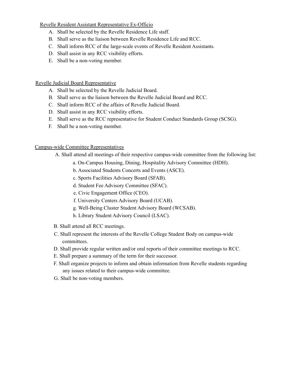Revelle Resident Assistant Representative Ex-Officio

- A. Shall be selected by the Revelle Residence Life staff.
- B. Shall serve as the liaison between Revelle Residence Life and RCC.
- C. Shall inform RCC of the large-scale events of Revelle Resident Assistants.
- D. Shall assist in any RCC visibility efforts.
- E. Shall be a non-voting member.

#### Revelle Judicial Board Representative

- A. Shall be selected by the Revelle Judicial Board.
- B. Shall serve as the liaison between the Revelle Judicial Board and RCC.
- C. Shall inform RCC of the affairs of Revelle Judicial Board.
- D. Shall assist in any RCC visibility efforts.
- E. Shall serve as the RCC representative for Student Conduct Standards Group (SCSG).
- F. Shall be a non-voting member.

## Campus-wide Committee Representatives

- A. Shall attend all meetings of their respective campus-wide committee from the following list:
	- a. On-Campus Housing, Dining, Hospitality Advisory Committee (HDH).
	- b. Associated Students Concerts and Events (ASCE).
	- c. Sports Facilities Advisory Board (SFAB).
	- d. Student Fee Advisory Committee (SFAC).
	- e. Civic Engagement Office (CEO).
	- f. University Centers Advisory Board (UCAB).
	- g. Well-Being Cluster Student Advisory Board (WCSAB).
	- h. Library Student Advisory Council (LSAC).
- B. Shall attend all RCC meetings.
- C. Shall represent the interests of the Revelle College Student Body on campus-wide committees.
- D. Shall provide regular written and/or oral reports of their committee meetings to RCC.
- E. Shall prepare a summary of the term for their successor.
- F. Shall organize projects to inform and obtain information from Revelle students regarding any issues related to their campus-wide committee.
- G. Shall be non-voting members.